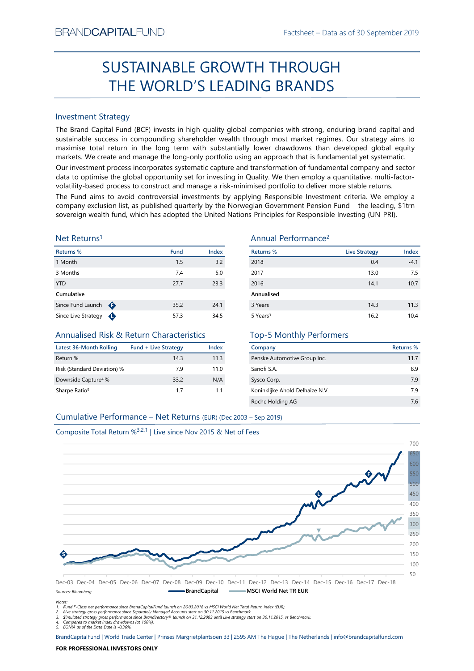# Factsheet – Data as of 30 September 2019<br> **HROUGH**<br> **RANIDE** SUSTAINABLE GROWTH THROUGH THE WORLD'S LEADING BRANDS

## Investment Strategy

SUSTAINABLE GROWTH THROUGH<br>
THE WORLD'S LEADING BRANDS<br>
Investment Strategy<br>
Investment Strategy<br>
Investment Strategy<br>
Investment Strategy and Capital Fund (BCF) invests in high-quality global companies with strong, endur SUSTAINABLE GROWTH THROUGH<br>
THE WORLD'S LEADING BRANDS<br>
Investment Strategy<br>
The Brand Capital Fund (8CF) invests in high-quality global companies with strong, enduring brand capital and<br>
systematele success in compoundin SUSIAINABLE GROWIH IHROUGH<br>
THE WORLD'S LEADING BRANDS<br>
Investment Strategy<br>
The Brand Gapital Fund (BCF) invests in high-quality global comparies with strong, enduring brand capital and<br>
maximise to calculate turn in the THE WORLD'S LEADING BRANDS<br>
Investment Strategy<br>
The Brand Capital Fund (BCF) invests in high-quality global companies with strong, enduring brand capital and<br>
the Brand Capital Fund (BCF) invests in high-quality global c Investment Strategy<br>
The Brand Capital Fund (BCF) invests in high-quality global companies with strong, enduring brand capital and<br>
sustainable success in compounding shareholder wealth through most market regimes. Our str Investment Strategy<br>
Since Enros Capital Face Brack Capital Face Brack Companies with strong, enduring brand Capital and<br>
Since Espand Capital Face Capital Face Sustainable success in compounding shareholder wealth through BRAND**CAPITAL**FUND<br>
Factsheet – Data as of 30 September 2019<br> **SUSTAINABLE GROWTH THROUGH**<br> **THE WORLD'S LEADING BRANDS**<br>
Investment Strategy<br>
Investment Strategy<br>
Investment Strategy<br>
Investment Strategy<br>
Investment Strat BRAND**CAPITAL**FUND<br>
Factsheet – Data as of 30 September 2019<br>
SUSTAINABLE GROWTH THROUGH<br>
THE WORLD'S LEADING BRANDS<br>
Investment Strategy<br>
The Brand Capital Fund (BCF) invests in high-quality global companies with strong, BRAND**CAPITAL**FUND<br>
SUSTAINABLE GROWTH THROUGH<br>
THE WORLD'S LEADING BRANDS<br>
Investment Strategy<br>
Inte Brand Capital Fund (BCF) invests in high-quality global companies with strong, enduring brand capital and<br>
sustainable s BRAND**CAPITAL**FUND<br>
SUSTAINABLE GROWTH THROUGH<br>
THE WORLD'S LEADING BRANDS<br>
Investment Strategy<br>
Investment Strategy<br>
Investment Strategy<br>
Investment Strategy<br>
Investment Strategy<br>
Investment Strategy<br>
Investment Strategy<br> BRAND**CAPITAL**FUND<br>
SUSTAINABLE GROWTH THROUGH<br>
THE WORLD'S LEADING BRANDS<br>
Investment Strategy<br>
Investment Strategy<br>
Investment Strategy<br>
Investment Strategy<br>
Investment Strategy<br>
Sustainable success in compounding shareh BRANDCAPITALFUND Factsheet – Data as of 30 September 2019<br>
SUSTAINABLE GROWTH THROUGH<br>
THE WORLD'S LEADING BRANDS<br>
Investment Strategy<br>
The Brand Capital Fund (ICF) invests in high-quality global companies with strong, end BRANDCAPITALFUND<br>
SUSTAINABLE GROWTH THROUGH<br>
THE WORLD'S LEADING BRANDS<br>
Investment Strategy<br>
Interactional Construct and (BCF) invests in high-quality global companies with strong, enduring brand capital and<br>
maximise to BRANDCAPITALFUND<br>
SUSTAINABLE GROWTH THROUGH<br>
THE WORLD'S LEADING BRANDS<br>
Investment Strategy<br>
The Brand Gapital Fund (BCF) invests in high-quality global companies with strong, enduring brand capital and<br>
sustainable succ BRANDCAPITALFUND<br>
SUSTAINABLE GROWTH THROUGH<br>
THE WORLD'S LEADING BRANDS<br>
Investment Strategy<br>
The Brand Capital Fund (BCF) invests in high-quality global companies with strong, enduring brand capital and<br>
maximize to con BRANDCAPITALFUND<br>
SUSTAINABLE GROWTH THROUGH<br>
THE WORLD'S LEADING BRANDS<br>
Investment Strategy<br>
Investment Strategy<br>
Investign and Capital Transmack fund, the Strategy<br>
surfainable success in compounding shareholder wealth

### Net Returns1

| Returns %           |   | <b>Fund</b> | <b>Index</b> |
|---------------------|---|-------------|--------------|
| 1 Month             |   | 1.5         | 3.2          |
| 3 Months            |   | 7.4         | 5.0          |
| <b>YTD</b>          |   | 27.7        | 23.3         |
| Cumulative          |   |             |              |
| Since Fund Launch   | ⊕ | 35.2        | 24.1         |
| Since Live Strategy |   | 57.3        | 34.5         |

## Annualised Risk & Return Characteristics

| Latest 36-Month Rolling         | <b>Fund + Live Strategy</b> | Index |
|---------------------------------|-----------------------------|-------|
| Return %                        | 143                         | 11.3  |
| Risk (Standard Deviation) %     | 79                          | 11.0  |
| Downside Capture <sup>4</sup> % | 33.2                        | N/A   |
| Sharpe Ratio <sup>5</sup>       | 17                          | 11    |

## Annual Performance2

|                                                                               |                             |              | <b>SUSTAINABLE GROWTH THROUGH</b>                                                                                                                                                                                                                                                                                                                                                                                                                             |                      |                  |
|-------------------------------------------------------------------------------|-----------------------------|--------------|---------------------------------------------------------------------------------------------------------------------------------------------------------------------------------------------------------------------------------------------------------------------------------------------------------------------------------------------------------------------------------------------------------------------------------------------------------------|----------------------|------------------|
|                                                                               |                             |              | THE WORLD'S LEADING BRANDS                                                                                                                                                                                                                                                                                                                                                                                                                                    |                      |                  |
|                                                                               |                             |              |                                                                                                                                                                                                                                                                                                                                                                                                                                                               |                      |                  |
| <b>Investment Strategy</b>                                                    |                             |              |                                                                                                                                                                                                                                                                                                                                                                                                                                                               |                      |                  |
|                                                                               |                             |              | The Brand Capital Fund (BCF) invests in high-quality global companies with strong, enduring brand capital and<br>sustainable success in compounding shareholder wealth through most market regimes. Our strategy aims to<br>maximise total return in the long term with substantially lower drawdowns than developed global equity<br>markets. We create and manage the long-only portfolio using an approach that is fundamental yet systematic.             |                      |                  |
|                                                                               |                             |              | Our investment process incorporates systematic capture and transformation of fundamental company and sector<br>data to optimise the global opportunity set for investing in Quality. We then employ a quantitative, multi-factor-<br>volatility-based process to construct and manage a risk-minimised portfolio to deliver more stable returns.<br>The Fund aims to avoid controversial investments by applying Responsible Investment criteria. We employ a |                      |                  |
|                                                                               |                             |              | company exclusion list, as published quarterly by the Norwegian Government Pension Fund - the leading, \$1trn<br>sovereign wealth fund, which has adopted the United Nations Principles for Responsible Investing (UN-PRI).                                                                                                                                                                                                                                   |                      |                  |
| Net Returns <sup>1</sup>                                                      |                             |              | Annual Performance <sup>2</sup>                                                                                                                                                                                                                                                                                                                                                                                                                               |                      |                  |
| <b>Returns %</b>                                                              | <b>Fund</b>                 | Index        | <b>Returns %</b>                                                                                                                                                                                                                                                                                                                                                                                                                                              | <b>Live Strategy</b> | Index            |
| 1 Month                                                                       | 1.5                         | 3.2          | 2018                                                                                                                                                                                                                                                                                                                                                                                                                                                          | 0.4                  | $-4.1$           |
| 3 Months                                                                      | 7.4                         | 5.0          | 2017                                                                                                                                                                                                                                                                                                                                                                                                                                                          | 13.0                 | 7.5              |
| YTD                                                                           | 27.7                        | 23.3         | 2016                                                                                                                                                                                                                                                                                                                                                                                                                                                          | 14.1                 | 10.7             |
| Cumulative                                                                    |                             |              | Annualised                                                                                                                                                                                                                                                                                                                                                                                                                                                    |                      |                  |
| Since Fund Launch $\bigoplus$                                                 | 35.2                        | 24.1         | 3 Years                                                                                                                                                                                                                                                                                                                                                                                                                                                       | 14.3                 | 11.3             |
| Since Live Strategy $\bigoplus$                                               | 57.3                        | 34.5         | 5 Years <sup>3</sup>                                                                                                                                                                                                                                                                                                                                                                                                                                          | 16.2                 | 10.4             |
| <b>Annualised Risk &amp; Return Characteristics</b>                           |                             |              | <b>Top-5 Monthly Performers</b>                                                                                                                                                                                                                                                                                                                                                                                                                               |                      |                  |
| <b>Latest 36-Month Rolling</b>                                                | <b>Fund + Live Strategy</b> | <b>Index</b> | Company                                                                                                                                                                                                                                                                                                                                                                                                                                                       |                      | <b>Returns %</b> |
| Return %                                                                      | 14.3                        | 11.3         | Penske Automotive Group Inc.                                                                                                                                                                                                                                                                                                                                                                                                                                  |                      | 11.7             |
| Risk (Standard Deviation) %                                                   | 7.9                         | 11.0         | Sanofi S.A.                                                                                                                                                                                                                                                                                                                                                                                                                                                   |                      | 8.9              |
| Downside Capture <sup>4</sup> %                                               | 33.2                        | N/A          | Sysco Corp.                                                                                                                                                                                                                                                                                                                                                                                                                                                   |                      | 7.9              |
| Sharpe Ratio <sup>5</sup>                                                     | 1.7                         | 1.1          | Koninklijke Ahold Delhaize N.V.                                                                                                                                                                                                                                                                                                                                                                                                                               |                      | 7.9              |
|                                                                               |                             |              | Roche Holding AG                                                                                                                                                                                                                                                                                                                                                                                                                                              |                      | 7.6              |
| Cumulative Performance - Net Returns (EUR) (Dec 2003 - Sep 2019)              |                             |              |                                                                                                                                                                                                                                                                                                                                                                                                                                                               |                      |                  |
|                                                                               |                             |              |                                                                                                                                                                                                                                                                                                                                                                                                                                                               |                      |                  |
| Composite Total Return % <sup>3,2,1</sup>   Live since Nov 2015 & Net of Fees |                             |              |                                                                                                                                                                                                                                                                                                                                                                                                                                                               |                      |                  |
|                                                                               |                             |              |                                                                                                                                                                                                                                                                                                                                                                                                                                                               |                      | 700              |
|                                                                               |                             |              |                                                                                                                                                                                                                                                                                                                                                                                                                                                               |                      |                  |
|                                                                               |                             |              |                                                                                                                                                                                                                                                                                                                                                                                                                                                               |                      |                  |

## Top-5 Monthly Performers

| Company                         | Returns % |
|---------------------------------|-----------|
| Penske Automotive Group Inc.    | 11.7      |
| Sanofi S.A.                     | 8.9       |
| Sysco Corp.                     | 79        |
| Koninklijke Ahold Delhaize N.V. | 79        |
| Roche Holding AG                | 76        |



Notes: 1. Fund F-Class net performance since BrandCapitalFund launch on 26.03.2018 vs MSCI World Net Total Return Index (EUR).

2. Live strategy gross performance since Separately Managed Accounts start on 30.11.2015 vs Benchmark.<br>3. Simulated strategy gross performance since Brandirectory® launch on 31.12.2003 until Live strategy start on 30.11.20

5. EONIA as of the Data Date is -0.36%.